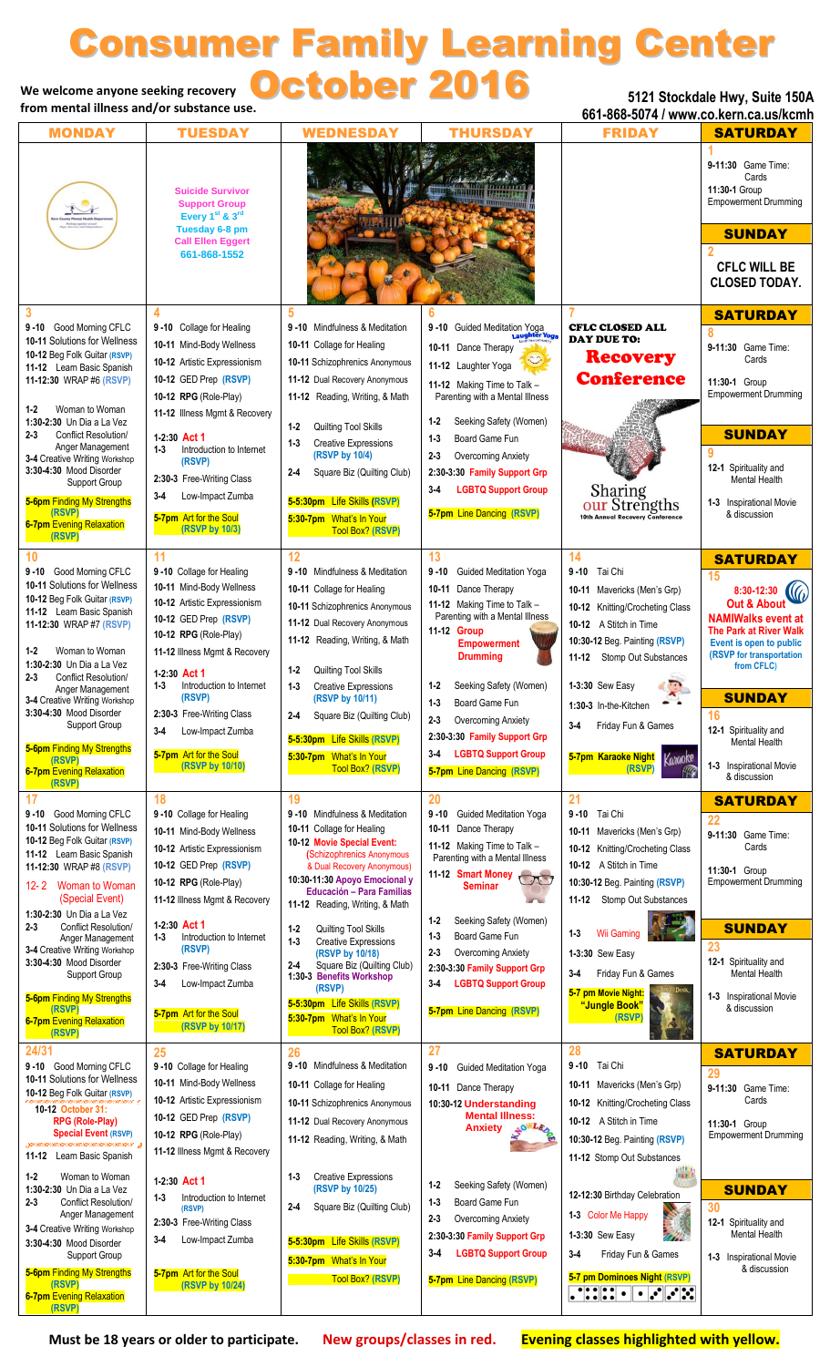# We welcome anyone seeking recovery **October 2016** Consumer Family Learning Center

**from mental illness and/or substance use.**

**5121 Stockdale Hwy, Suite 150A**

| from mental limess and/or substance use.                                                                                                                                                                                                                                                                                                                                                                                                                                          |                                                                                                                                                                                                                                                                                                                                                       |                                                                                                                                                                                                                                                                                                                                                                                                                                                                                                                         | 661-868-5074 / www.co.kern.ca.us/kcmh                                                                                                                                                                                                                                                                                                                                                      |                                                                                                                                                                                                                                                                                                                                                                                        |                                                                                                                                                                                                                                                                                                              |
|-----------------------------------------------------------------------------------------------------------------------------------------------------------------------------------------------------------------------------------------------------------------------------------------------------------------------------------------------------------------------------------------------------------------------------------------------------------------------------------|-------------------------------------------------------------------------------------------------------------------------------------------------------------------------------------------------------------------------------------------------------------------------------------------------------------------------------------------------------|-------------------------------------------------------------------------------------------------------------------------------------------------------------------------------------------------------------------------------------------------------------------------------------------------------------------------------------------------------------------------------------------------------------------------------------------------------------------------------------------------------------------------|--------------------------------------------------------------------------------------------------------------------------------------------------------------------------------------------------------------------------------------------------------------------------------------------------------------------------------------------------------------------------------------------|----------------------------------------------------------------------------------------------------------------------------------------------------------------------------------------------------------------------------------------------------------------------------------------------------------------------------------------------------------------------------------------|--------------------------------------------------------------------------------------------------------------------------------------------------------------------------------------------------------------------------------------------------------------------------------------------------------------|
| <b>MONDAY</b>                                                                                                                                                                                                                                                                                                                                                                                                                                                                     | <b>TUESDAY</b>                                                                                                                                                                                                                                                                                                                                        | <b>WEDNESDAY</b>                                                                                                                                                                                                                                                                                                                                                                                                                                                                                                        | <b>THURSDAY</b>                                                                                                                                                                                                                                                                                                                                                                            | <b>FRIDAY</b>                                                                                                                                                                                                                                                                                                                                                                          | <b>SATURDAY</b>                                                                                                                                                                                                                                                                                              |
|                                                                                                                                                                                                                                                                                                                                                                                                                                                                                   | <b>Suicide Survivor</b><br><b>Support Group</b><br>Every 1 <sup>st</sup> & 3 <sup>rd</sup><br>Tuesday 6-8 pm<br><b>Call Ellen Eggert</b><br>661-868-1552                                                                                                                                                                                              |                                                                                                                                                                                                                                                                                                                                                                                                                                                                                                                         |                                                                                                                                                                                                                                                                                                                                                                                            |                                                                                                                                                                                                                                                                                                                                                                                        | 9-11:30 Game Time:<br>Cards<br>11:30-1 Group<br><b>Empowerment Drumming</b><br><b>SUNDAY</b><br><b>CFLC WILL BE</b><br><b>CLOSED TODAY.</b>                                                                                                                                                                  |
| 3<br>9-10 Good Morning CFLC<br>10-11 Solutions for Wellness<br>10-12 Beg Folk Guitar (RSVP)<br>11-12 Learn Basic Spanish<br>11-12:30 WRAP #6 (RSVP)<br>$1 - 2$<br>Woman to Woman<br>1:30-2:30 Un Dia a La Vez<br>Conflict Resolution/<br>$2 - 3$<br>Anger Management<br>3-4 Creative Writing Workshop<br>3:30-4:30 Mood Disorder<br>Support Group<br>5-6pm Finding My Strengths<br>(RSVP)<br><b>6-7pm</b> Evening Relaxation<br>(RSVP)                                            | 4<br>9-10 Collage for Healing<br>10-11 Mind-Body Wellness<br>10-12 Artistic Expressionism<br>10-12 GED Prep (RSVP)<br>10-12 RPG (Role-Play)<br>11-12 Illness Mgmt & Recovery<br>1-2:30 Act 1<br>$1 - 3$<br>Introduction to Internet<br>(RSVP)<br>2:30-3 Free-Writing Class<br>Low-Impact Zumba<br>$3-4$<br>5-7pm Art for the Soul<br>(RSVP by 10/3)   | 5<br>9-10 Mindfulness & Meditation<br>10-11 Collage for Healing<br>10-11 Schizophrenics Anonymous<br>11-12 Dual Recovery Anonymous<br>11-12 Reading, Writing, & Math<br>$1-2$<br>Quilting Tool Skills<br><b>Creative Expressions</b><br>$1 - 3$<br>(RSVP by 10/4)<br>$2-4$<br>Square Biz (Quilting Club)<br>5-5:30pm Life Skills (RSVP)<br>5:30-7pm What's In Your<br><b>Tool Box? (RSVP)</b>                                                                                                                           | 9-10 Guided Meditation Yoga<br>ter Yoga<br>10-11 Dance Therapy<br>11-12 Laughter Yoga<br>11-12 Making Time to Talk -<br>Parenting with a Mental Illness<br>Seeking Safety (Women)<br>$1 - 2$<br>Board Game Fun<br>$1 - 3$<br>Overcoming Anxiety<br>$2 - 3$<br>2:30-3:30 Family Support Grp<br><b>LGBTQ Support Group</b><br>$3-4$<br>5-7pm Line Dancing (RSVP)                             | <b>CFLC CLOSED ALL</b><br><b>DAY DUE TO:</b><br><b>Recovery</b><br><b>Conference</b><br><b>Sharing<br/> OUL Strengths</b><br><b>10th Annual Recovery Conference</b>                                                                                                                                                                                                                    | <b>SATURDAY</b><br>9-11:30 Game Time:<br>Cards<br>11:30-1 Group<br><b>Empowerment Drumming</b><br><b>SUNDAY</b><br>12-1 Spirituality and<br>Mental Health<br><b>1-3</b> Inspirational Movie<br>& discussion                                                                                                  |
| 10<br>9-10 Good Morning CFLC<br>10-11 Solutions for Wellness<br>10-12 Beg Folk Guitar (RSVP)<br>11-12 Learn Basic Spanish<br>11-12:30 WRAP #7 (RSVP)<br>Woman to Woman<br>$1 - 2$<br>1:30-2:30 Un Dia a La Vez<br>Conflict Resolution/<br>$2 - 3$<br>Anger Management<br>3-4 Creative Writing Workshop<br>3:30-4:30 Mood Disorder<br>Support Group<br>5-6pm Finding My Strengths<br>(RSVP)<br><b>6-7pm</b> Evening Relaxation<br>(RSVP)                                           | 11<br>9-10 Collage for Healing<br>10-11 Mind-Body Wellness<br>10-12 Artistic Expressionism<br>10-12 GED Prep (RSVP)<br>10-12 RPG (Role-Play)<br>11-12 Illness Mgmt & Recovery<br>1-2:30 Act 1<br>Introduction to Internet<br>1-3<br>(RSVP)<br>2:30-3 Free-Writing Class<br>$3 - 4$<br>Low-Impact Zumba<br>5-7pm Art for the Soul<br>(RSVP by 10/10)   | 12<br>9-10 Mindfulness & Meditation<br>10-11 Collage for Healing<br>10-11 Schizophrenics Anonymous<br>11-12 Dual Recovery Anonymous<br>11-12 Reading, Writing, & Math<br>Quilting Tool Skills<br>$1 - 2$<br><b>Creative Expressions</b><br>$1 - 3$<br>(RSVP by 10/11)<br>$2 - 4$<br>Square Biz (Quilting Club)<br>5-5:30pm Life Skills (RSVP)<br>5:30-7pm What's In Your<br><b>Tool Box? (RSVP)</b>                                                                                                                     | 13<br>$9 - 10$<br><b>Guided Meditation Yoga</b><br>10-11 Dance Therapy<br>11-12 Making Time to Talk -<br>Parenting with a Mental Illness<br>11-12 Group<br><b>Empowerment</b><br><b>Drumming</b><br>Seeking Safety (Women)<br>$1-2$<br>Board Game Fun<br>$1 - 3$<br>Overcoming Anxiety<br>2:30-3:30 Family Support Grp<br><b>LGBTQ Support Group</b><br>$3-4$<br>5-7pm Line Dancing (RSVP) | 14<br>Tai Chi<br>$9 - 10$<br>10-11 Mavericks (Men's Grp)<br>10-12 Knitting/Crocheting Class<br>10-12 A Stitch in Time<br>10:30-12 Beg. Painting (RSVP)<br>11-12 Stomp Out Substances<br>1-3:30 Sew Easy<br>1:30-3 In-the-Kitchen<br>$3 - 4$<br>Friday Fun & Games<br>Kanaoke<br>5-7pm Karaoke Night<br>(RSVP)<br>WG                                                                    | <b>SATURDAY</b><br>15<br>8:30-12:30<br><b>Out &amp; About</b><br><b>NAMIWalks event at</b><br>The Park at River Walk<br>Event is open to public<br>(RSVP for transportation<br>from CFLC)<br><b>SUNDAY</b><br>16<br>12-1 Spirituality and<br><b>Mental Health</b><br>1-3 Inspirational Movie<br>& discussion |
| 17<br>9-10 Good Morning CFLC<br>10-11 Solutions for Wellness<br>10-12 Beg Folk Guitar (RSVP)<br>11-12 Learn Basic Spanish<br>11-12:30 WRAP #8 (RSVP)<br>12-2 Woman to Woman<br>(Special Event)<br>1:30-2:30 Un Dia a La Vez<br>Conflict Resolution/<br>$2 - 3$<br>Anger Management<br>3-4 Creative Writing Workshop<br>3:30-4:30 Mood Disorder<br>Support Group<br>5-6pm Finding My Strengths<br>(RSVP)<br><b>6-7pm</b> Evening Relaxation<br>(RSVP)                              | 18<br>9-10 Collage for Healing<br>10-11 Mind-Body Wellness<br>10-12 Artistic Expressionism<br>10-12 GED Prep (RSVP)<br>10-12 RPG (Role-Play)<br>11-12 Illness Mgmt & Recovery<br>1-2:30 Act 1<br>Introduction to Internet<br>1-3<br>(RSVP)<br>2:30-3 Free-Writing Class<br>$3 - 4$<br>Low-Impact Zumba<br>5-7pm Art for the Soul<br>(RSVP by 10/17)   | 19<br>9-10 Mindfulness & Meditation<br>10-11 Collage for Healing<br>10-12 Movie Special Event:<br>(Schizophrenics Anonymous<br>& Dual Recovery Anonymous)<br>10:30-11:30 Apoyo Emocional y<br><b>Educación - Para Familias</b><br>11-12 Reading, Writing, & Math<br>Quilting Tool Skills<br>$1-2$<br>$1 - 3$<br><b>Creative Expressions</b><br>(RSVP by 10/18)<br>Square Biz (Quilting Club)<br>2-4<br>1:30-3 Benefits Workshop<br>(RSVP)<br>5-5:30pm Life Skills (RSVP)<br>5:30-7pm What's In Your<br>Tool Box? (RSVP) | 20<br>9-10 Guided Meditation Yoga<br>10-11 Dance Therapy<br>11-12 Making Time to Talk -<br>Parenting with a Mental Illness<br>11-12 Smart Money<br><b>Seminar</b><br>Seeking Safety (Women)<br>$1 - 2$<br>Board Game Fun<br>$1 - 3$<br>$2 - 3$<br>Overcoming Anxiety<br>2:30-3:30 Family Support Grp<br><b>LGBTQ Support Group</b><br>$3-4$<br>5-7pm Line Dancing (RSVP)                   | 21<br>Tai Chi<br>$9 - 10$<br>Mavericks (Men's Grp)<br>10-11<br>10-12 Knitting/Crocheting Class<br>10-12 A Stitch in Time<br>10:30-12 Beg. Painting (RSVP)<br>11-12 Stomp Out Substances<br><b>Wii Gaming</b><br>$1 - 3$<br>1-3:30 Sew Easy<br>Friday Fun & Games<br>$3-4$<br>5-7 pm Movie Night:<br>"Jungle Book"<br>(RSVP)                                                            | <b>SATURDAY</b><br>22<br>9-11:30 Game Time:<br>Cards<br>11:30-1 Group<br><b>Empowerment Drumming</b><br><b>SUNDAY</b><br>23<br>12-1 Spirituality and<br><b>Mental Health</b><br>1-3 Inspirational Movie<br>& discussion                                                                                      |
| 24/31<br>9-10 Good Morning CFLC<br>10-11 Solutions for Wellness<br>10-12 Beg Folk Guitar (RSVP)<br>10-12 October 31:<br><b>RPG (Role-Play)</b><br><b>Special Event (RSVP)</b><br>11-12 Learn Basic Spanish<br>$1-2$<br>Woman to Woman<br>1:30-2:30 Un Dia a La Vez<br>$2 - 3$<br>Conflict Resolution/<br>Anger Management<br>3-4 Creative Writing Workshop<br>3:30-4:30 Mood Disorder<br>Support Group<br>5-6pm Finding My Strengths<br>(RSVP)<br><b>6-7pm</b> Evening Relaxation | 25<br>9-10 Collage for Healing<br>10-11 Mind-Body Wellness<br>10-12 Artistic Expressionism<br>10-12 GED Prep (RSVP)<br>10-12 RPG (Role-Play)<br>11-12 Illness Mgmt & Recovery<br>1-2:30 Act 1<br>$1 - 3$<br>Introduction to Internet<br>(RSVP)<br>2:30-3 Free-Writing Class<br>Low-Impact Zumba<br>$3-4$<br>5-7pm Art for the Soul<br>(RSVP by 10/24) | 26<br>9-10 Mindfulness & Meditation<br>10-11 Collage for Healing<br>10-11 Schizophrenics Anonymous<br>11-12 Dual Recovery Anonymous<br>11-12 Reading, Writing, & Math<br><b>Creative Expressions</b><br>$1 - 3$<br>(RSVP by 10/25)<br>Square Biz (Quilting Club)<br>2-4<br>5-5:30pm Life Skills (RSVP)<br>5:30-7pm What's In Your<br>Tool Box? (RSVP)                                                                                                                                                                   | 27<br>$9 - 10$<br><b>Guided Meditation Yoga</b><br>10-11 Dance Therapy<br>10:30-12 Understanding<br><b>Mental Illness:</b><br>AOWLED<br>Anxiety<br>$1-2$<br>Seeking Safety (Women)<br>Board Game Fun<br>$1 - 3$<br>$2 - 3$<br>Overcoming Anxiety<br>2:30-3:30 Family Support Grp<br><b>LGBTQ Support Group</b><br>3-4<br>5-7pm Line Dancing (RSVP)                                         | 28<br>Tai Chi<br>$9 - 10$<br>10-11 Mavericks (Men's Grp)<br>10-12 Knitting/Crocheting Class<br>10-12 A Stitch in Time<br>10:30-12 Beg. Painting (RSVP)<br>11-12 Stomp Out Substances<br>HATH AT<br>12-12:30 Birthday Celebration<br>1-3 Color Me Happy<br>1-3:30 Sew Easy<br>$3-4$<br>Friday Fun & Games<br>5-7 pm Dominoes Night (RSVP)<br>$\mathcal{S}$ , $\mathcal{S}$<br>$\bullet$ | <b>SATURDAY</b><br>29<br>9-11:30 Game Time:<br>Cards<br>11:30-1 Group<br><b>Empowerment Drumming</b><br><b>SUNDAY</b><br>30<br>12-1 Spirituality and<br>Mental Health<br>1-3 Inspirational Movie<br>& discussion                                                                                             |

 **(RSVP)**

**Must be 18 years or older to participate. New groups/classes in red. Evening classes highlighted with yellow.**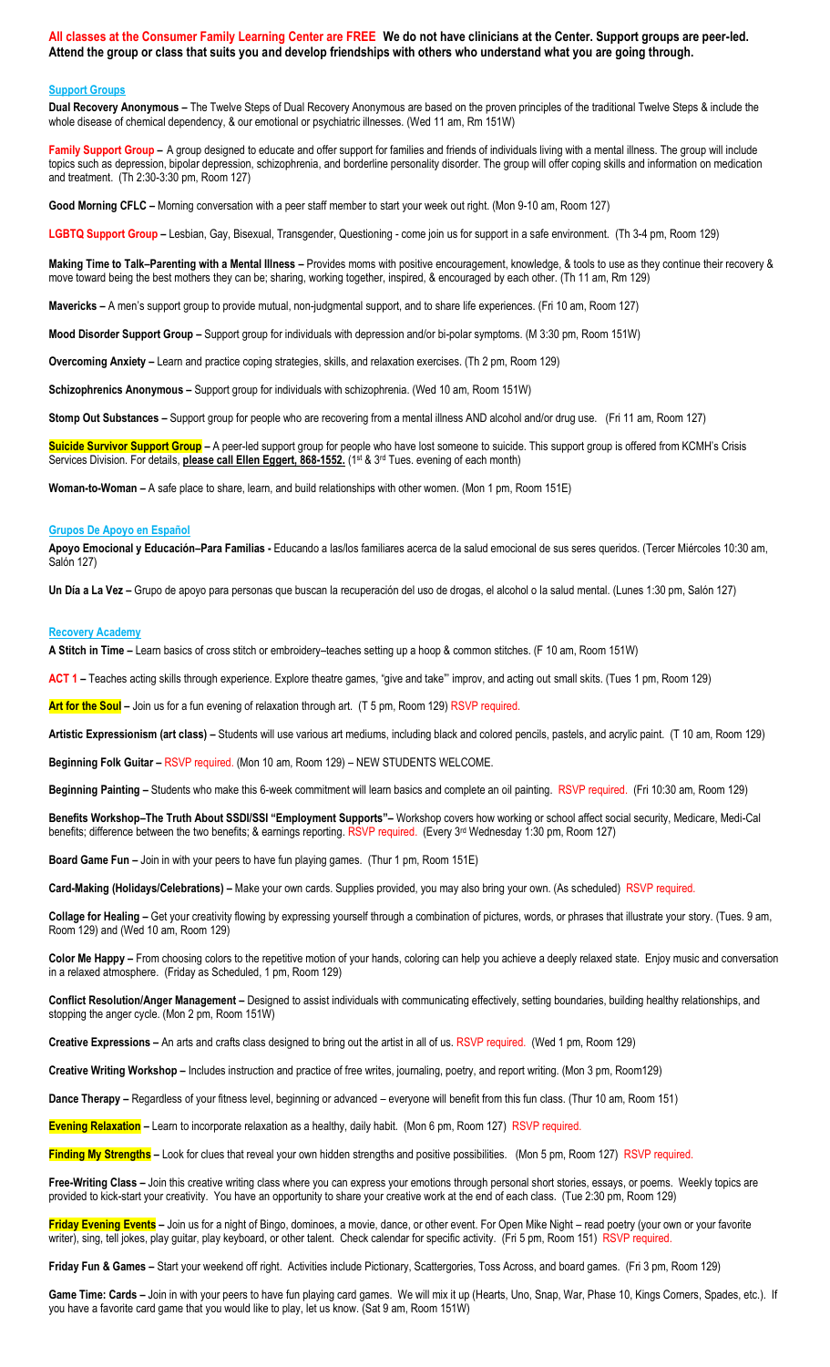**All classes at the Consumer Family Learning Center are FREE We do not have clinicians at the Center. Support groups are peer-led. Attend the group or class that suits you and develop friendships with others who understand what you are going through.**

# **Support Groups**

**Dual Recovery Anonymous –** The Twelve Steps of Dual Recovery Anonymous are based on the proven principles of the traditional Twelve Steps & include the whole disease of chemical dependency, & our emotional or psychiatric illnesses. (Wed 11 am, Rm 151W)

Family Support Group - A group designed to educate and offer support for families and friends of individuals living with a mental illness. The group will include topics such as depression, bipolar depression, schizophrenia, and borderline personality disorder. The group will offer coping skills and information on medication and treatment. (Th 2:30-3:30 pm, Room 127)

**Good Morning CFLC –** Morning conversation with a peer staff member to start your week out right. (Mon 9-10 am, Room 127)

**LGBTQ Support Group –** Lesbian, Gay, Bisexual, Transgender, Questioning - come join us for support in a safe environment. (Th 3-4 pm, Room 129)

**Making Time to Talk–Parenting with a Mental Illness –** Provides moms with positive encouragement, knowledge, & tools to use as they continue their recovery & move toward being the best mothers they can be; sharing, working together, inspired, & encouraged by each other. (Th 11 am, Rm 129)

**Mavericks –** A men's support group to provide mutual, non-judgmental support, and to share life experiences. (Fri 10 am, Room 127)

**Mood Disorder Support Group –** Support group for individuals with depression and/or bi-polar symptoms. (M 3:30 pm, Room 151W)

**Overcoming Anxiety –** Learn and practice coping strategies, skills, and relaxation exercises. (Th 2 pm, Room 129)

**Schizophrenics Anonymous –** Support group for individuals with schizophrenia. (Wed 10 am, Room 151W)

**Stomp Out Substances –** Support group for people who are recovering from a mental illness AND alcohol and/or drug use. (Fri 11 am, Room 127)

**Suicide Survivor Support Group –** A peer-led support group for people who have lost someone to suicide. This support group is offered from KCMH's Crisis Services Division. For details, **please call Ellen Eggert, 868-1552.** (1st & 3<sup>rd</sup> Tues. evening of each month)

**Woman-to-Woman –** A safe place to share, learn, and build relationships with other women. (Mon 1 pm, Room 151E)

#### **Grupos De Apoyo en Español**

**Apoyo Emocional y Educación–Para Familias -** Educando a las/los familiares acerca de la salud emocional de sus seres queridos. (Tercer Miércoles 10:30 am, Salón 127)

**Un Día a La Vez –** Grupo de apoyo para personas que buscan la recuperación del uso de drogas, el alcohol o la salud mental. (Lunes 1:30 pm, Salón 127)

### **Recovery Academy**

**A Stitch in Time –** Learn basics of cross stitch or embroidery–teaches setting up a hoop & common stitches. (F 10 am, Room 151W)

**ACT 1 –** Teaches acting skills through experience. Explore theatre games, "give and take"' improv, and acting out small skits. (Tues 1 pm, Room 129)

**Art for the Soul –** Join us for a fun evening of relaxation through art. (T 5 pm, Room 129) RSVP required.

**Artistic Expressionism (art class) –** Students will use various art mediums, including black and colored pencils, pastels, and acrylic paint. (T 10 am, Room 129)

**Beginning Folk Guitar –** RSVP required. (Mon 10 am, Room 129) – NEW STUDENTS WELCOME.

**Beginning Painting –** Students who make this 6-week commitment will learn basics and complete an oil painting. RSVP required. (Fri 10:30 am, Room 129)

**Benefits Workshop–The Truth About SSDI/SSI "Employment Supports"–** Workshop covers how working or school affect social security, Medicare, Medi-Cal benefits; difference between the two benefits; & earnings reporting. RSVP required. (Every 3rd Wednesday 1:30 pm, Room 127)

**Board Game Fun –** Join in with your peers to have fun playing games. (Thur 1 pm, Room 151E)

**Card-Making (Holidays/Celebrations) –** Make your own cards. Supplies provided, you may also bring your own. (As scheduled) RSVP required.

**Collage for Healing –** Get your creativity flowing by expressing yourself through a combination of pictures, words, or phrases that illustrate your story. (Tues. 9 am, Room 129) and (Wed 10 am, Room 129)

**Color Me Happy –** From choosing colors to the repetitive motion of your hands, coloring can help you achieve a deeply relaxed state. Enjoy music and conversation in a relaxed atmosphere. (Friday as Scheduled, 1 pm, Room 129)

**Conflict Resolution/Anger Management –** Designed to assist individuals with communicating effectively, setting boundaries, building healthy relationships, and stopping the anger cycle. (Mon 2 pm, Room 151W)

**Creative Expressions –** An arts and crafts class designed to bring out the artist in all of us. RSVP required. (Wed 1 pm, Room 129)

**Creative Writing Workshop –** Includes instruction and practice of free writes, journaling, poetry, and report writing. (Mon 3 pm, Room129)

**Dance Therapy –** Regardless of your fitness level, beginning or advanced – everyone will benefit from this fun class. (Thur 10 am, Room 151)

**Evening Relaxation –** Learn to incorporate relaxation as a healthy, daily habit. (Mon 6 pm, Room 127) RSVP required.

Finding My Strengths - Look for clues that reveal your own hidden strengths and positive possibilities. (Mon 5 pm, Room 127) RSVP required.

**Free-Writing Class –** Join this creative writing class where you can express your emotions through personal short stories, essays, or poems. Weekly topics are provided to kick-start your creativity. You have an opportunity to share your creative work at the end of each class. (Tue 2:30 pm, Room 129)

Friday Evening Events - Join us for a night of Bingo, dominoes, a movie, dance, or other event. For Open Mike Night - read poetry (your own or your favorite writer), sing, tell jokes, play guitar, play keyboard, or other talent. Check calendar for specific activity. (Fri 5 pm, Room 151) RSVP required.

**Friday Fun & Games –** Start your weekend off right. Activities include Pictionary, Scattergories, Toss Across, and board games. (Fri 3 pm, Room 129)

Game Time: Cards - Join in with your peers to have fun playing card games. We will mix it up (Hearts, Uno, Snap, War, Phase 10, Kings Corners, Spades, etc.). If you have a favorite card game that you would like to play, let us know. (Sat 9 am, Room 151W)